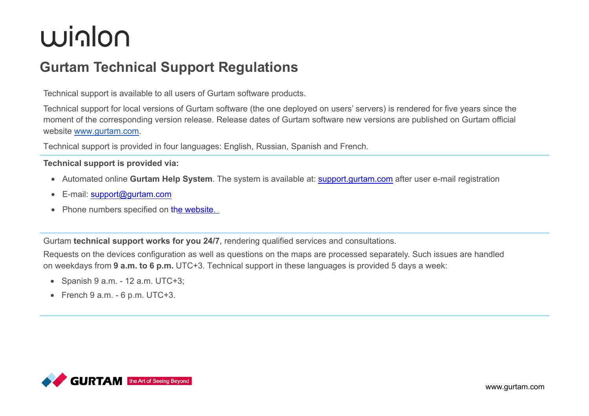### <u>winlon</u>

#### **Gurtam Technical Support Regulations**

Technical support is available to all users of Gurtam software products.

Technical support for local versions of Gurtam software (the one deployed on users' servers) is rendered for five years since the moment of the corresponding version release. Release dates of Gurtam software new versions are published on Gurtam official website [www.gurtam.com](http://www.gurtam.com/).

Technical support is provided in four languages: English, Russian, Spanish and French.

#### **Technical support is provided via:**

- Automated online **Gurtam Help System**. The system is available at: s[upport.gurtam.com](https://support.gurtam.com/) after user e-mail registration
- E-mail: s[upport@gurtam.com](mailto:support@gurtam.com)
- Phone numbers specified on t[he website.](https://gurtam.com/en/contacts)

Gurtam **technical support works for you 24/7**, rendering qualified services and consultations.

Requests on the devices configuration as well as questions on the maps are processed separately. Such issues are handled on weekdays from **9 a.m. to 6 p.m.** UTC+3. Technical support in these languages is provided 5 days a week:

- Spanish  $9$  a.m. 12 a.m. UTC+3;
- French  $9$  a.m.  $-6$  p.m. UTC $+3$ .

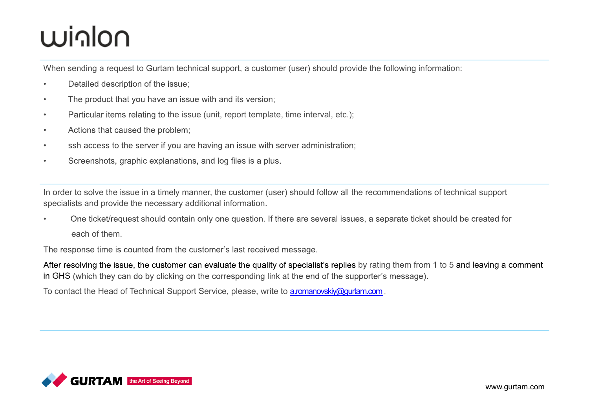## Minlon

When sending a request to Gurtam technical support, a customer (user) should provide the following information:

- Detailed description of the issue;  $\bullet$
- The product that you have an issue with and its version;  $\bullet$
- Particular items relating to the issue (unit, report template, time interval, etc.);  $\bullet$
- Actions that caused the problem;  $\bullet$
- ssh access to the server if you are having an issue with server administration;  $\bullet$
- Screenshots, graphic explanations, and log files is a plus.  $\bullet$

In order to solve the issue in a timely manner, the customer (user) should follow all the recommendations of technical support specialists and provide the necessary additional information.

One ticket/request should contain only one question. If there are several issues, a separate ticket should be created for each of them.

The response time is counted from the customer's last received message.

After resolving the issue, the customer can evaluate the quality of specialist's replies by rating them from 1 to 5 and leaving a comment in GHS (which they can do by clicking on the corresponding link at the end of the supporter's message).

To contact the Head of Technical Support Service, please, write to a.romanovskiy@gurtam.com.

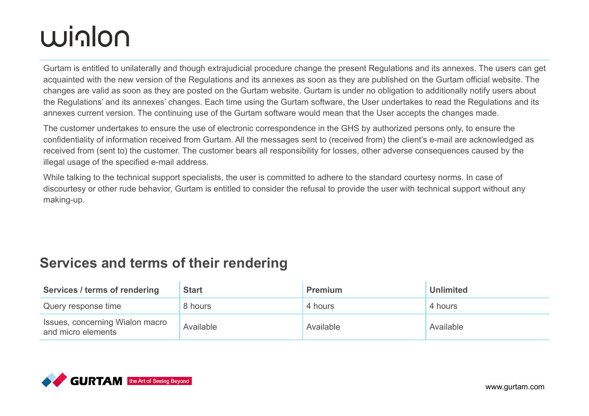# **Winlon**

Gurtam is entitled to unilaterally and though extrajudicial procedure change the present Regulations and its annexes. The users can get acquainted with the new version of the Regulations and its annexes as soon as they are published on the Gurtam official website. The changes are valid as soon as they are posted on the Gurtam website. Gurtam is under no obligation to additionally notify users about the Regulations' and its annexes' changes. Each time using the Gurtam software, the User undertakes to read the Regulations and its annexes current version. The continuing use of the Gurtam software would mean that the User accepts the changes made.

The customer undertakes to ensure the use of electronic correspondence in the GHS by authorized persons only, to ensure the confidentiality of information received from Gurtam. All the messages sent to (received from) the client's e-mail are acknowledged as received from (sent to) the customer. The customer bears all responsibility for losses, other adverse consequences caused by the illegal usage of the specified e-mail address.

While talking to the technical support specialists, the user is committed to adhere to the standard courtesy norms. In case of discourtesy or other rude behavior, Gurtam is entitled to consider the refusal to provide the user with technical support without any making-up.

#### **Services and terms of their rendering**

| Services / terms of rendering                         | <b>Start</b> | <b>Premium</b> | <b>Unlimited</b> |
|-------------------------------------------------------|--------------|----------------|------------------|
| Query response time                                   | 8 hours      | 4 hours        | 4 hours          |
| Issues, concerning Wialon macro<br>and micro elements | Available    | Available      | Available        |